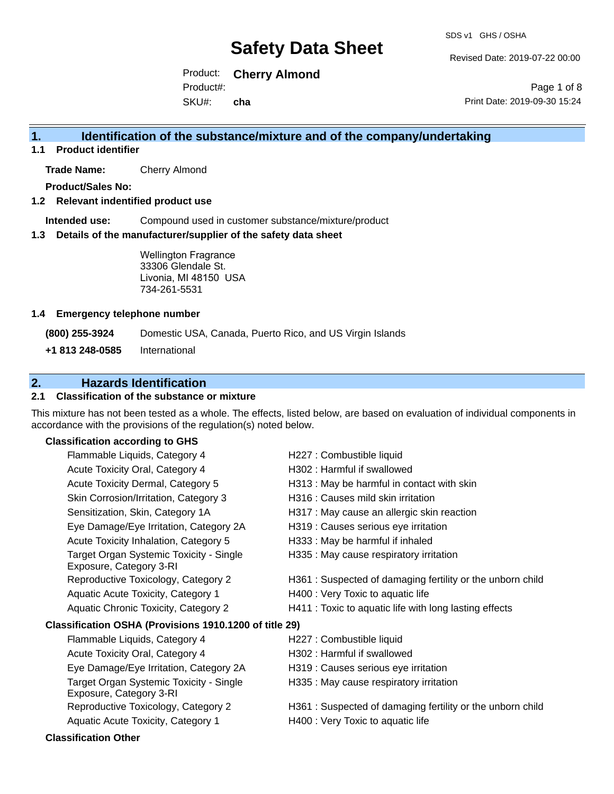Revised Date: 2019-07-22 00:00

Product: **Cherry Almond** SKU#: Product#: **cha**

Page 1 of 8 Print Date: 2019-09-30 15:24

## **1. Identification of the substance/mixture and of the company/undertaking**

**1.1 Product identifier**

**Trade Name:** Cherry Almond

**Product/Sales No:**

#### **1.2 Relevant indentified product use**

**Intended use:** Compound used in customer substance/mixture/product

#### **1.3 Details of the manufacturer/supplier of the safety data sheet**

Wellington Fragrance 33306 Glendale St. Livonia, MI 48150 USA 734-261-5531

#### **1.4 Emergency telephone number**

**(800) 255-3924** Domestic USA, Canada, Puerto Rico, and US Virgin Islands

**+1 813 248-0585** International

# **2. Hazards Identification**

### **2.1 Classification of the substance or mixture**

This mixture has not been tested as a whole. The effects, listed below, are based on evaluation of individual components in accordance with the provisions of the regulation(s) noted below.

### **Classification according to GHS**

| Flammable Liquids, Category 4                                      | H227 : Combustible liquid                                  |
|--------------------------------------------------------------------|------------------------------------------------------------|
| Acute Toxicity Oral, Category 4                                    | H302: Harmful if swallowed                                 |
| Acute Toxicity Dermal, Category 5                                  | H313 : May be harmful in contact with skin                 |
| Skin Corrosion/Irritation, Category 3                              | H316 : Causes mild skin irritation                         |
| Sensitization, Skin, Category 1A                                   | H317 : May cause an allergic skin reaction                 |
| Eye Damage/Eye Irritation, Category 2A                             | H319 : Causes serious eye irritation                       |
| Acute Toxicity Inhalation, Category 5                              | H333: May be harmful if inhaled                            |
| Target Organ Systemic Toxicity - Single<br>Exposure, Category 3-RI | H335 : May cause respiratory irritation                    |
| Reproductive Toxicology, Category 2                                | H361 : Suspected of damaging fertility or the unborn child |
| Aquatic Acute Toxicity, Category 1                                 | H400 : Very Toxic to aquatic life                          |
| Aquatic Chronic Toxicity, Category 2                               | H411 : Toxic to aquatic life with long lasting effects     |
| Classification OSHA (Provisions 1910.1200 of title 29)             |                                                            |
| Flammable Liquids, Category 4                                      | H227 : Combustible liquid                                  |
| Acute Toxicity Oral, Category 4                                    | H302 : Harmful if swallowed                                |
| Eye Damage/Eye Irritation, Category 2A                             | H319 : Causes serious eye irritation                       |
| Target Organ Systemic Toxicity - Single<br>Exposure, Category 3-RI | H335 : May cause respiratory irritation                    |
| Reproductive Toxicology, Category 2                                | H361: Suspected of damaging fertility or the unborn child  |
| Aquatic Acute Toxicity, Category 1                                 | H400 : Very Toxic to aquatic life                          |
|                                                                    |                                                            |

#### **Classification Other**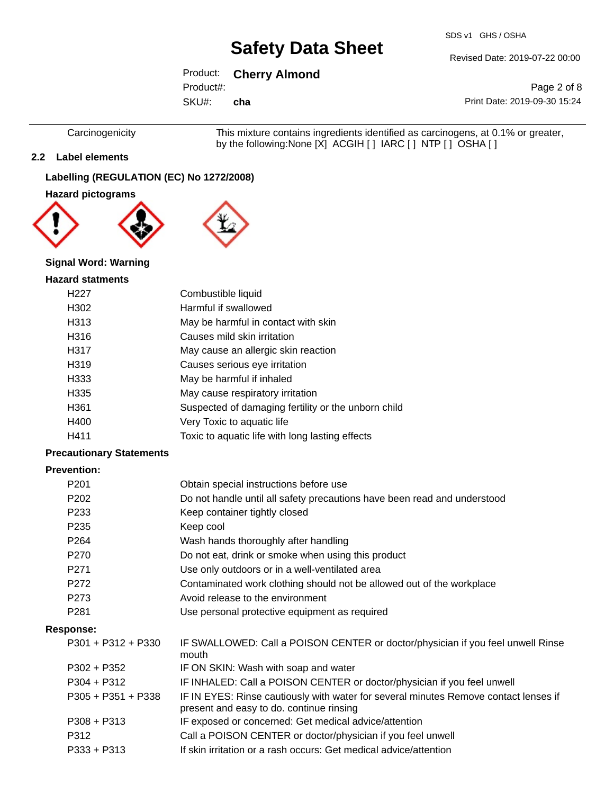SDS v1 GHS / OSHA

Revised Date: 2019-07-22 00:00

# Product: **Cherry Almond**

Product#:

SKU#: **cha**

Page 2 of 8 Print Date: 2019-09-30 15:24

Carcinogenicity This mixture contains ingredients identified as carcinogens, at 0.1% or greater, by the following:None [X] ACGIH [ ] IARC [ ] NTP [ ] OSHA [ ]

### **2.2 Label elements**

## **Labelling (REGULATION (EC) No 1272/2008)**

### **Hazard pictograms**



### **Signal Word: Warning**

#### **Hazard statments**

| H <sub>22</sub> 7 | Combustible liquid                                  |
|-------------------|-----------------------------------------------------|
| H302              | Harmful if swallowed                                |
| H313              | May be harmful in contact with skin                 |
| H316              | Causes mild skin irritation                         |
| H317              | May cause an allergic skin reaction                 |
| H <sub>319</sub>  | Causes serious eye irritation                       |
| H333              | May be harmful if inhaled                           |
| H <sub>335</sub>  | May cause respiratory irritation                    |
| H <sub>361</sub>  | Suspected of damaging fertility or the unborn child |
| H400              | Very Toxic to aquatic life                          |
| H411              | Toxic to aquatic life with long lasting effects     |
|                   |                                                     |

### **Precautionary Statements**

#### **Prevention:**

| P <sub>201</sub>     | Obtain special instructions before use                                                                                           |
|----------------------|----------------------------------------------------------------------------------------------------------------------------------|
| P <sub>202</sub>     | Do not handle until all safety precautions have been read and understood                                                         |
| P <sub>2</sub> 33    | Keep container tightly closed                                                                                                    |
| P <sub>235</sub>     | Keep cool                                                                                                                        |
| P <sub>264</sub>     | Wash hands thoroughly after handling                                                                                             |
| P270                 | Do not eat, drink or smoke when using this product                                                                               |
| P <sub>271</sub>     | Use only outdoors or in a well-ventilated area                                                                                   |
| P272                 | Contaminated work clothing should not be allowed out of the workplace                                                            |
| P273                 | Avoid release to the environment                                                                                                 |
| P <sub>281</sub>     | Use personal protective equipment as required                                                                                    |
| <b>Response:</b>     |                                                                                                                                  |
| $P301 + P312 + P330$ | IF SWALLOWED: Call a POISON CENTER or doctor/physician if you feel unwell Rinse<br>mouth                                         |
| P302 + P352          | IF ON SKIN: Wash with soap and water                                                                                             |
| P304 + P312          | IF INHALED: Call a POISON CENTER or doctor/physician if you feel unwell                                                          |
| $P305 + P351 + P338$ | IF IN EYES: Rinse cautiously with water for several minutes Remove contact lenses if<br>present and easy to do. continue rinsing |
| $P308 + P313$        | IF exposed or concerned: Get medical advice/attention                                                                            |
| P312                 | Call a POISON CENTER or doctor/physician if you feel unwell                                                                      |
| P333 + P313          | If skin irritation or a rash occurs: Get medical advice/attention                                                                |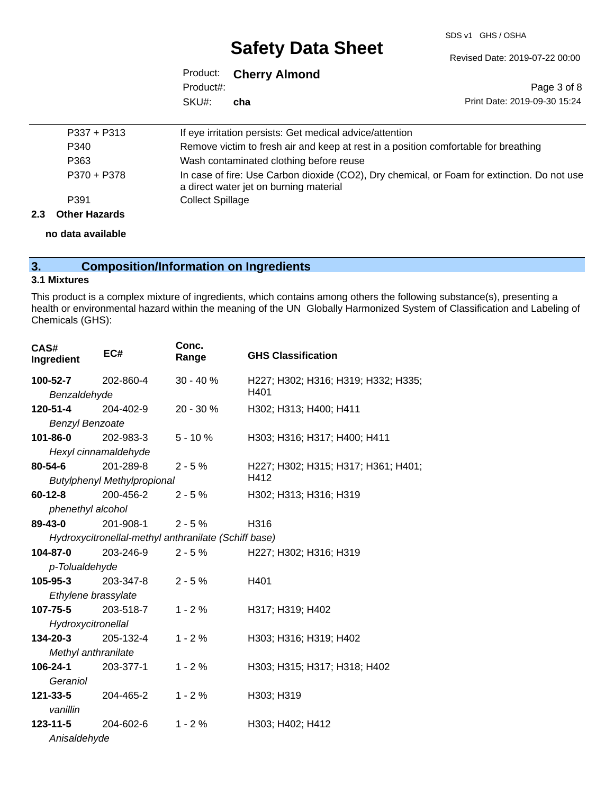#### SDS v1 GHS / OSHA

Revised Date: 2019-07-22 00:00

# **Safety Data Sheet**

|           | Product: Cherry Almond |                              |
|-----------|------------------------|------------------------------|
| Product#: |                        | Page 3 of 8                  |
| SKU#:     | cha                    | Print Date: 2019-09-30 15:24 |

| 2.3 | <b>Other Hazards</b> |                                                                                                                                       |
|-----|----------------------|---------------------------------------------------------------------------------------------------------------------------------------|
|     | P391                 | <b>Collect Spillage</b>                                                                                                               |
|     | P370 + P378          | In case of fire: Use Carbon dioxide (CO2), Dry chemical, or Foam for extinction. Do not use<br>a direct water jet on burning material |
|     | P363                 | Wash contaminated clothing before reuse                                                                                               |
|     | P340                 | Remove victim to fresh air and keep at rest in a position comfortable for breathing                                                   |
|     | $P337 + P313$        | If eye irritation persists: Get medical advice/attention                                                                              |

**no data available**

# **3. Composition/Information on Ingredients**

#### **3.1 Mixtures**

This product is a complex mixture of ingredients, which contains among others the following substance(s), presenting a health or environmental hazard within the meaning of the UN Globally Harmonized System of Classification and Labeling of Chemicals (GHS):

| CAS#<br>Ingredient     | EC#                                                  | Conc.<br>Range | <b>GHS Classification</b>           |
|------------------------|------------------------------------------------------|----------------|-------------------------------------|
| 100-52-7               | 202-860-4                                            | $30 - 40%$     | H227; H302; H316; H319; H332; H335; |
| Benzaldehyde           |                                                      |                | H401                                |
| 120-51-4               | 204-402-9                                            | 20 - 30 %      | H302; H313; H400; H411              |
| <b>Benzyl Benzoate</b> |                                                      |                |                                     |
| 101-86-0               | 202-983-3                                            | $5 - 10%$      | H303; H316; H317; H400; H411        |
|                        | Hexyl cinnamaldehyde                                 |                |                                     |
| 80-54-6                | 201-289-8                                            | $2 - 5%$       | H227; H302; H315; H317; H361; H401; |
|                        | <b>Butylphenyl Methylpropional</b>                   |                | H412                                |
| 60-12-8                | 200-456-2                                            | $2 - 5%$       | H302; H313; H316; H319              |
| phenethyl alcohol      |                                                      |                |                                     |
| 89-43-0                | 201-908-1                                            | $2 - 5%$       | H316                                |
|                        | Hydroxycitronellal-methyl anthranilate (Schiff base) |                |                                     |
| 104-87-0               | 203-246-9                                            | $2 - 5%$       | H227; H302; H316; H319              |
| p-Tolualdehyde         |                                                      |                |                                     |
| 105-95-3               | 203-347-8                                            | $2 - 5%$       | H401                                |
| Ethylene brassylate    |                                                      |                |                                     |
| 107-75-5               | 203-518-7                                            | $1 - 2%$       | H317; H319; H402                    |
| Hydroxycitronellal     |                                                      |                |                                     |
| $134 - 20 - 3$         | 205-132-4                                            | $1 - 2%$       | H303; H316; H319; H402              |
| Methyl anthranilate    |                                                      |                |                                     |
| 106-24-1               | 203-377-1                                            | $1 - 2%$       | H303; H315; H317; H318; H402        |
| Geraniol               |                                                      |                |                                     |
| 121-33-5               | 204-465-2                                            | $1 - 2%$       | H303; H319                          |
| vanillin               |                                                      |                |                                     |
| $123 - 11 - 5$         | 204-602-6                                            | $1 - 2%$       | H303; H402; H412                    |
| Anisaldehyde           |                                                      |                |                                     |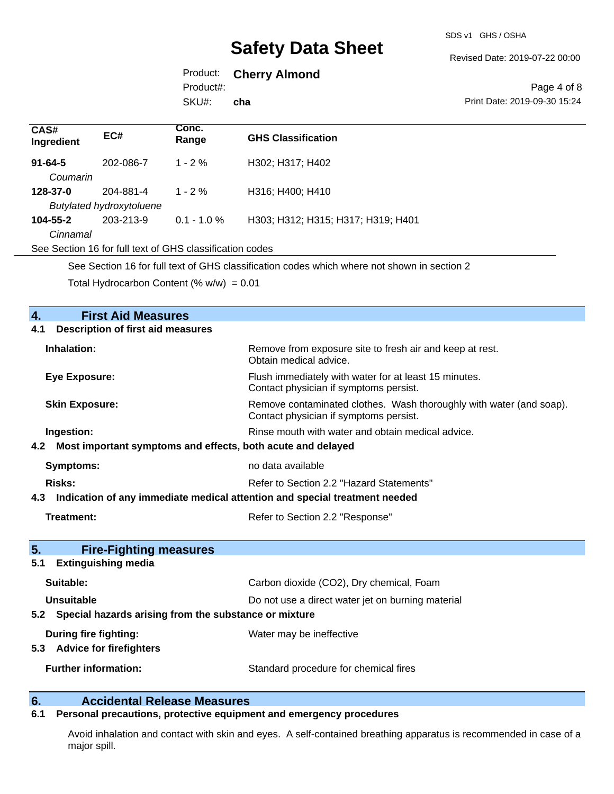#### Revised Date: 2019-07-22 00:00

# Product: **Cherry Almond**

Product#:

SKU#: **cha**

#### Page 4 of 8 Print Date: 2019-09-30 15:24

| CAS#<br>Ingredient                                       | EC#       | Conc.<br>Range | <b>GHS Classification</b>          |  |
|----------------------------------------------------------|-----------|----------------|------------------------------------|--|
| $91 - 64 - 5$                                            | 202-086-7 | $1 - 2 \%$     | H302; H317; H402                   |  |
| Coumarin                                                 |           |                |                                    |  |
| 128-37-0                                                 | 204-881-4 | $1 - 2 \%$     | H316; H400; H410                   |  |
| <b>Butylated hydroxytoluene</b>                          |           |                |                                    |  |
| $104 - 55 - 2$                                           | 203-213-9 | $0.1 - 1.0 \%$ | H303; H312; H315; H317; H319; H401 |  |
| Cinnamal                                                 |           |                |                                    |  |
| See Section 16 for full text of GHS classification codes |           |                |                                    |  |
|                                                          |           |                |                                    |  |

See Section 16 for full text of GHS classification codes which where not shown in section 2

Total Hydrocarbon Content (%  $w/w$ ) = 0.01

| <b>First Aid Measures</b><br>4.                                    |                                                                                                               |  |  |
|--------------------------------------------------------------------|---------------------------------------------------------------------------------------------------------------|--|--|
| <b>Description of first aid measures</b><br>4.1                    |                                                                                                               |  |  |
| Inhalation:                                                        | Remove from exposure site to fresh air and keep at rest.<br>Obtain medical advice.                            |  |  |
| <b>Eye Exposure:</b>                                               | Flush immediately with water for at least 15 minutes.<br>Contact physician if symptoms persist.               |  |  |
| <b>Skin Exposure:</b>                                              | Remove contaminated clothes. Wash thoroughly with water (and soap).<br>Contact physician if symptoms persist. |  |  |
| Ingestion:                                                         | Rinse mouth with water and obtain medical advice.                                                             |  |  |
| Most important symptoms and effects, both acute and delayed<br>4.2 |                                                                                                               |  |  |
| Symptoms:                                                          | no data available                                                                                             |  |  |
| <b>Risks:</b>                                                      | Refer to Section 2.2 "Hazard Statements"                                                                      |  |  |
| 4.3                                                                | Indication of any immediate medical attention and special treatment needed                                    |  |  |
| <b>Treatment:</b>                                                  | Refer to Section 2.2 "Response"                                                                               |  |  |
| 5.<br><b>Fire-Fighting measures</b>                                |                                                                                                               |  |  |
| <b>Extinguishing media</b><br>5.1                                  |                                                                                                               |  |  |
| Suitable:                                                          | Carbon dioxide (CO2), Dry chemical, Foam                                                                      |  |  |
| Unsuitable                                                         | Do not use a direct water jet on burning material                                                             |  |  |
| 5.2 Special hazards arising from the substance or mixture          |                                                                                                               |  |  |
| During fire fighting:<br>5.3 Advice for firefighters               | Water may be ineffective                                                                                      |  |  |
|                                                                    |                                                                                                               |  |  |

# **6. Calcidental Release Measures**<br>**6.1** Personal precautions, protective equipment

# **6.1 Personal precautions, protective equipment and emergency procedures**

Avoid inhalation and contact with skin and eyes. A self-contained breathing apparatus is recommended in case of a major spill.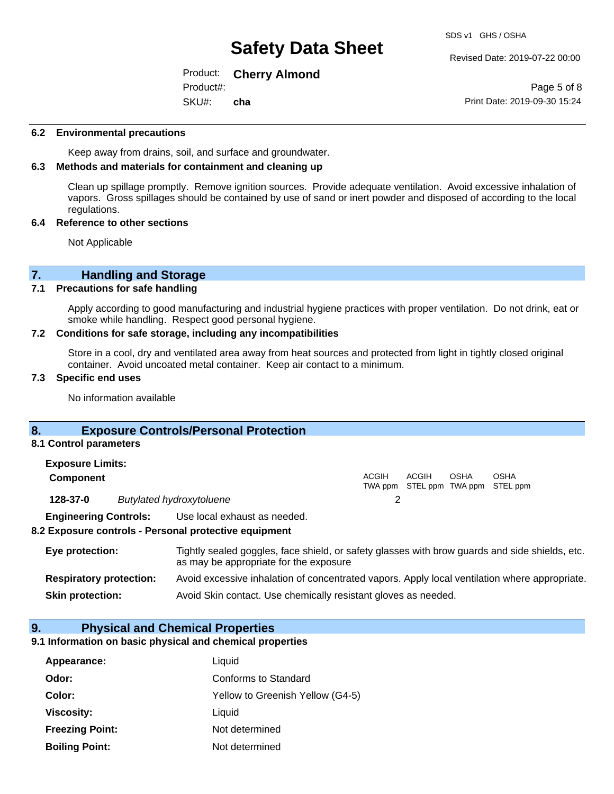#### Revised Date: 2019-07-22 00:00

#### Product: **Cherry Almond** SKU#: Product#: **cha**

Page 5 of 8 Print Date: 2019-09-30 15:24

#### **6.2 Environmental precautions**

Keep away from drains, soil, and surface and groundwater.

### **6.3 Methods and materials for containment and cleaning up**

Clean up spillage promptly. Remove ignition sources. Provide adequate ventilation. Avoid excessive inhalation of vapors. Gross spillages should be contained by use of sand or inert powder and disposed of according to the local regulations.

#### **6.4 Reference to other sections**

Not Applicable

# **7. Handling and Storage**

#### **7.1 Precautions for safe handling**

Apply according to good manufacturing and industrial hygiene practices with proper ventilation. Do not drink, eat or smoke while handling. Respect good personal hygiene.

#### **7.2 Conditions for safe storage, including any incompatibilities**

Store in a cool, dry and ventilated area away from heat sources and protected from light in tightly closed original container. Avoid uncoated metal container. Keep air contact to a minimum.

#### **7.3 Specific end uses**

No information available

## **8. Exposure Controls/Personal Protection**

#### **8.1 Control parameters**

| <b>Exposure Limits:</b>              |  |                              |       |       |      |                                   |  |
|--------------------------------------|--|------------------------------|-------|-------|------|-----------------------------------|--|
| <b>Component</b>                     |  |                              | ACGIH | ACGIH | OSHA | OSHA                              |  |
|                                      |  |                              |       |       |      | TWA ppm STEL ppm TWA ppm STEL ppm |  |
| 128-37-0<br>Butylated hydroxytoluene |  |                              |       |       |      |                                   |  |
| <b>Engineering Controls:</b>         |  | Use local exhaust as needed. |       |       |      |                                   |  |

#### **8.2 Exposure controls - Personal protective equipment**

| Eye protection:                | Tightly sealed goggles, face shield, or safety glasses with brow guards and side shields, etc.<br>as may be appropriate for the exposure |
|--------------------------------|------------------------------------------------------------------------------------------------------------------------------------------|
| <b>Respiratory protection:</b> | Avoid excessive inhalation of concentrated vapors. Apply local ventilation where appropriate.                                            |
| <b>Skin protection:</b>        | Avoid Skin contact. Use chemically resistant gloves as needed.                                                                           |

#### **9. Physical and Chemical Properties**

#### **9.1 Information on basic physical and chemical properties**

| Appearance:            | Liquid                           |
|------------------------|----------------------------------|
| Odor:                  | Conforms to Standard             |
| Color:                 | Yellow to Greenish Yellow (G4-5) |
| <b>Viscosity:</b>      | Liquid                           |
| <b>Freezing Point:</b> | Not determined                   |
| <b>Boiling Point:</b>  | Not determined                   |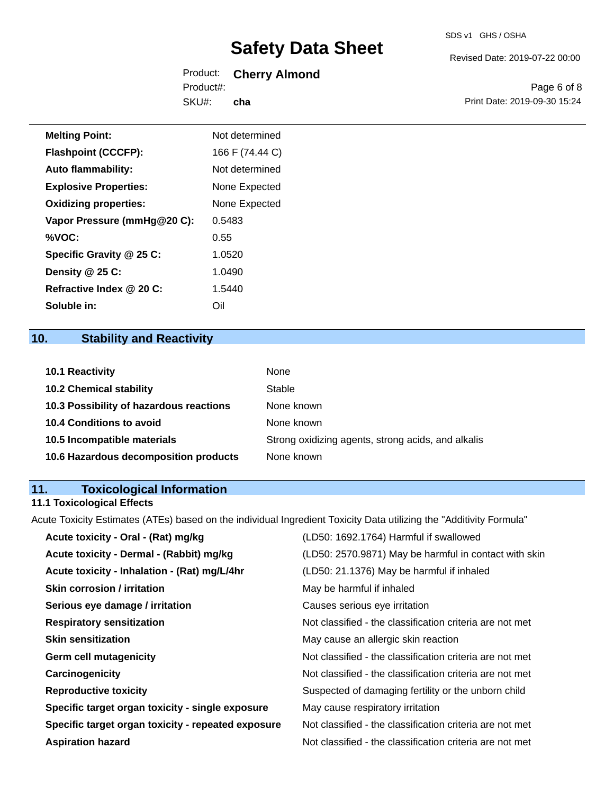Revised Date: 2019-07-22 00:00

|           | Product: Cherry Almond |
|-----------|------------------------|
| Product#: |                        |
| SKU#:     | cha                    |

Page 6 of 8 Print Date: 2019-09-30 15:24

| <b>Melting Point:</b>        | Not determined  |  |
|------------------------------|-----------------|--|
| <b>Flashpoint (CCCFP):</b>   | 166 F (74.44 C) |  |
| <b>Auto flammability:</b>    | Not determined  |  |
| <b>Explosive Properties:</b> | None Expected   |  |
| <b>Oxidizing properties:</b> | None Expected   |  |
| Vapor Pressure (mmHg@20 C):  | 0.5483          |  |
| %VOC:                        | 0.55            |  |
| Specific Gravity @ 25 C:     | 1.0520          |  |
| Density @ 25 C:              | 1.0490          |  |
| Refractive Index @ 20 C:     | 1.5440          |  |

# **10. Stability and Reactivity**

**Soluble in:** Oil

| <b>10.1 Reactivity</b>                  | None                                               |
|-----------------------------------------|----------------------------------------------------|
| <b>10.2 Chemical stability</b>          | Stable                                             |
| 10.3 Possibility of hazardous reactions | None known                                         |
| <b>10.4 Conditions to avoid</b>         | None known                                         |
| 10.5 Incompatible materials             | Strong oxidizing agents, strong acids, and alkalis |
| 10.6 Hazardous decomposition products   | None known                                         |

# **11. Toxicological Information**

### **11.1 Toxicological Effects**

Acute Toxicity Estimates (ATEs) based on the individual Ingredient Toxicity Data utilizing the "Additivity Formula"

| Acute toxicity - Oral - (Rat) mg/kg                | (LD50: 1692.1764) Harmful if swallowed                   |
|----------------------------------------------------|----------------------------------------------------------|
| Acute toxicity - Dermal - (Rabbit) mg/kg           | (LD50: 2570.9871) May be harmful in contact with skin    |
| Acute toxicity - Inhalation - (Rat) mg/L/4hr       | (LD50: 21.1376) May be harmful if inhaled                |
| <b>Skin corrosion / irritation</b>                 | May be harmful if inhaled                                |
| Serious eye damage / irritation                    | Causes serious eye irritation                            |
| <b>Respiratory sensitization</b>                   | Not classified - the classification criteria are not met |
| <b>Skin sensitization</b>                          | May cause an allergic skin reaction                      |
| <b>Germ cell mutagenicity</b>                      | Not classified - the classification criteria are not met |
| Carcinogenicity                                    | Not classified - the classification criteria are not met |
| <b>Reproductive toxicity</b>                       | Suspected of damaging fertility or the unborn child      |
| Specific target organ toxicity - single exposure   | May cause respiratory irritation                         |
| Specific target organ toxicity - repeated exposure | Not classified - the classification criteria are not met |
| <b>Aspiration hazard</b>                           | Not classified - the classification criteria are not met |
|                                                    |                                                          |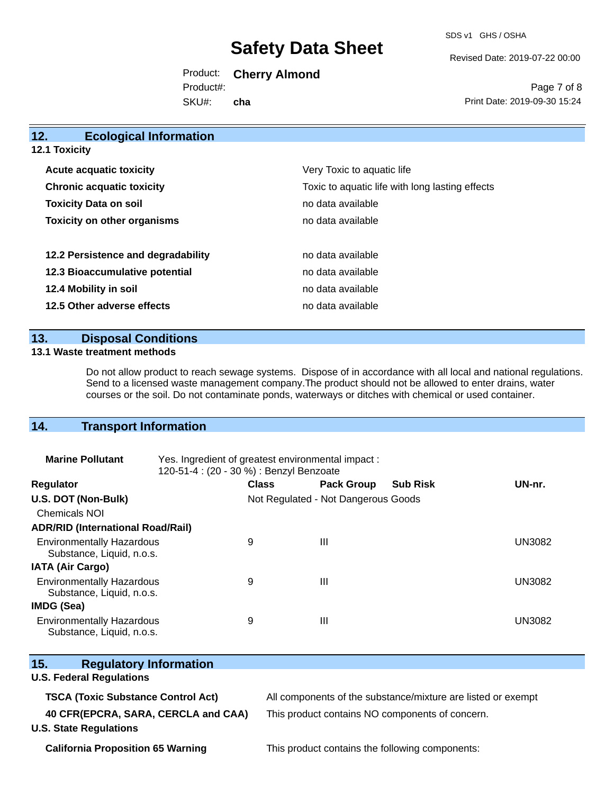SDS v1 GHS / OSHA

Revised Date: 2019-07-22 00:00

Product: **Cherry Almond** SKU#: Product#: **cha**

Page 7 of 8 Print Date: 2019-09-30 15:24

| <b>Ecological Information</b><br>12. |                                                 |
|--------------------------------------|-------------------------------------------------|
| 12.1 Toxicity                        |                                                 |
| <b>Acute acquatic toxicity</b>       | Very Toxic to aquatic life                      |
| <b>Chronic acquatic toxicity</b>     | Toxic to aquatic life with long lasting effects |
| <b>Toxicity Data on soil</b>         | no data available                               |
| <b>Toxicity on other organisms</b>   | no data available                               |
| 12.2 Persistence and degradability   | no data available                               |
| 12.3 Bioaccumulative potential       | no data available                               |
| 12.4 Mobility in soil                | no data available                               |
| 12.5 Other adverse effects           | no data available                               |
|                                      |                                                 |

### **13. Disposal Conditions**

#### **13.1 Waste treatment methods**

Do not allow product to reach sewage systems. Dispose of in accordance with all local and national regulations. Send to a licensed waste management company.The product should not be allowed to enter drains, water courses or the soil. Do not contaminate ponds, waterways or ditches with chemical or used container.

# **14. Transport Information**

| <b>Marine Pollutant</b>                                       | Yes. Ingredient of greatest environmental impact:<br>120-51-4 : (20 - 30 %) : Benzyl Benzoate |                                     |                   |                 |               |
|---------------------------------------------------------------|-----------------------------------------------------------------------------------------------|-------------------------------------|-------------------|-----------------|---------------|
| <b>Regulator</b>                                              |                                                                                               | <b>Class</b>                        | <b>Pack Group</b> | <b>Sub Risk</b> | UN-nr.        |
| U.S. DOT (Non-Bulk)                                           |                                                                                               | Not Regulated - Not Dangerous Goods |                   |                 |               |
| <b>Chemicals NOI</b>                                          |                                                                                               |                                     |                   |                 |               |
| <b>ADR/RID (International Road/Rail)</b>                      |                                                                                               |                                     |                   |                 |               |
| <b>Environmentally Hazardous</b><br>Substance, Liquid, n.o.s. |                                                                                               | 9                                   | Ш                 |                 | <b>UN3082</b> |
| <b>IATA (Air Cargo)</b>                                       |                                                                                               |                                     |                   |                 |               |
| <b>Environmentally Hazardous</b><br>Substance, Liquid, n.o.s. |                                                                                               | 9                                   | Ш                 |                 | <b>UN3082</b> |
| <b>IMDG (Sea)</b>                                             |                                                                                               |                                     |                   |                 |               |
| <b>Environmentally Hazardous</b><br>Substance, Liquid, n.o.s. |                                                                                               | 9                                   | Ш                 |                 | <b>UN3082</b> |

| 15.<br><b>Regulatory Information</b>                                 |                                                              |
|----------------------------------------------------------------------|--------------------------------------------------------------|
| <b>U.S. Federal Regulations</b>                                      |                                                              |
| <b>TSCA (Toxic Substance Control Act)</b>                            | All components of the substance/mixture are listed or exempt |
| 40 CFR(EPCRA, SARA, CERCLA and CAA)<br><b>U.S. State Regulations</b> | This product contains NO components of concern.              |

**California Proposition 65 Warning** This product contains the following components: